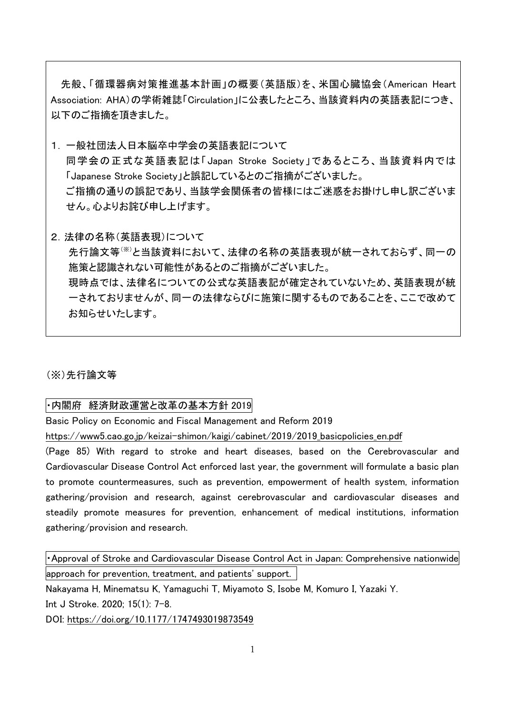先般、「循環器病対策推進基本計画」の概要(英語版)を、米国心臓協会(American Heart Association: AHA)の学術雑誌「Circulation」に公表したところ、当該資料内の英語表記につき、 以下のご指摘を頂きました。

1.一般社団法人日本脳卒中学会の英語表記について 同学会の正式な英語表記は「Japan Stroke Society」であるところ、当該資料内では 「Japanese Stroke Society」と誤記しているとのご指摘がございました。 ご指摘の通りの誤記であり、当該学会関係者の皆様にはご迷惑をお掛けし申し訳ございま せん。心よりお詫び申し上げます。

2.法律の名称(英語表現)について 先行論文等(※)と当該資料において、法律の名称の英語表現が統一されておらず、同一の 施策と認識されない可能性があるとのご指摘がございました。 現時点では、法律名についての公式な英語表記が確定されていないため、英語表現が統 一されておりませんが、同一の法律ならびに施策に関するものであることを、ここで改めて お知らせいたします。

## (※)先行論文等

## ・内閣府 経済財政運営と改革の基本方針 2019

Basic Policy on Economic and Fiscal Management and Reform 2019

[https://www5.cao.go.jp/keizai-shimon/kaigi/cabinet/2019/2019\\_basicpolicies\\_en.pdf](https://www5.cao.go.jp/keizai-shimon/kaigi/cabinet/2019/2019_basicpolicies_en.pdf)

(Page 85) With regard to stroke and heart diseases, based on the Cerebrovascular and Cardiovascular Disease Control Act enforced last year, the government will formulate a basic plan to promote countermeasures, such as prevention, empowerment of health system, information gathering/provision and research, against cerebrovascular and cardiovascular diseases and steadily promote measures for prevention, enhancement of medical institutions, information gathering/provision and research.

・Approval of Stroke and Cardiovascular Disease Control Act in Japan: Comprehensive nationwide approach for prevention, treatment, and patients' support.

Nakayama H, Minematsu K, Yamaguchi T, Miyamoto S, Isobe M, Komuro I, Yazaki Y. Int J Stroke. 2020; 15(1): 7-8.

DOI:<https://doi.org/10.1177/1747493019873549>